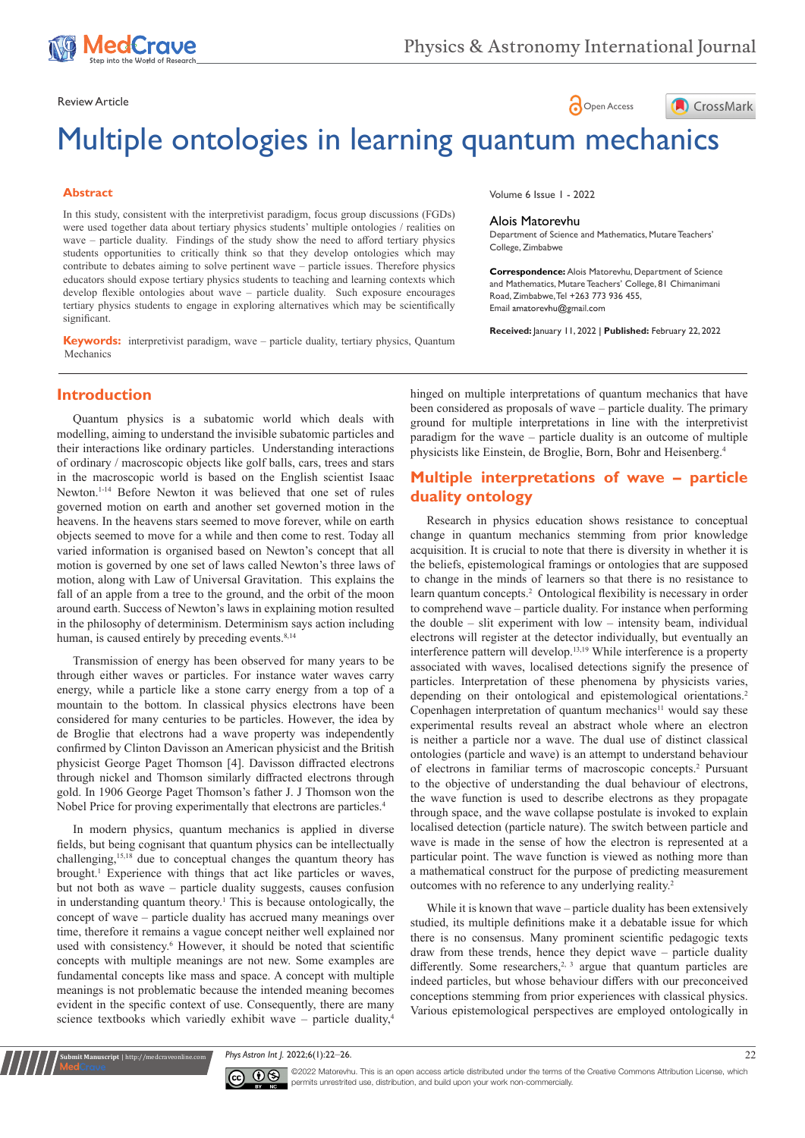

# Review Article **Contract Contract Contract Contract Contract Contract Contract Contract Contract Contract Contract Contract Contract Contract Contract Contract Contract Contract Contract Contract Contract Contract Contract**



# Multiple ontologies in learning quantum mechanics

### **Abstract**

In this study, consistent with the interpretivist paradigm, focus group discussions (FGDs) were used together data about tertiary physics students' multiple ontologies / realities on wave – particle duality. Findings of the study show the need to afford tertiary physics students opportunities to critically think so that they develop ontologies which may contribute to debates aiming to solve pertinent wave – particle issues. Therefore physics educators should expose tertiary physics students to teaching and learning contexts which develop flexible ontologies about wave – particle duality. Such exposure encourages tertiary physics students to engage in exploring alternatives which may be scientifically significant.

**Keywords:** interpretivist paradigm, wave – particle duality, tertiary physics, Quantum Mechanics

Volume 6 Issue 1 - 2022

#### Alois Matorevhu

Department of Science and Mathematics, Mutare Teachers' College, Zimbabwe

**Correspondence:** Alois Matorevhu, Department of Science and Mathematics, Mutare Teachers' College, 81 Chimanimani Road, Zimbabwe, Tel +263 773 936 455, Email amatoreyhu@gmail.com

**Received:** January 11, 2022 | **Published:** February 22, 2022

## **Introduction**

Quantum physics is a subatomic world which deals with modelling, aiming to understand the invisible subatomic particles and their interactions like ordinary particles. Understanding interactions of ordinary / macroscopic objects like golf balls, cars, trees and stars in the macroscopic world is based on the English scientist Isaac Newton.1-14 Before Newton it was believed that one set of rules governed motion on earth and another set governed motion in the heavens. In the heavens stars seemed to move forever, while on earth objects seemed to move for a while and then come to rest. Today all varied information is organised based on Newton's concept that all motion is governed by one set of laws called Newton's three laws of motion, along with Law of Universal Gravitation. This explains the fall of an apple from a tree to the ground, and the orbit of the moon around earth. Success of Newton's laws in explaining motion resulted in the philosophy of determinism. Determinism says action including human, is caused entirely by preceding events.<sup>8,14</sup>

Transmission of energy has been observed for many years to be through either waves or particles. For instance water waves carry energy, while a particle like a stone carry energy from a top of a mountain to the bottom. In classical physics electrons have been considered for many centuries to be particles. However, the idea by de Broglie that electrons had a wave property was independently confirmed by Clinton Davisson an American physicist and the British physicist George Paget Thomson [4]. Davisson diffracted electrons through nickel and Thomson similarly diffracted electrons through gold. In 1906 George Paget Thomson's father J. J Thomson won the Nobel Price for proving experimentally that electrons are particles.4

In modern physics, quantum mechanics is applied in diverse fields, but being cognisant that quantum physics can be intellectually challenging,15,18 due to conceptual changes the quantum theory has brought.<sup>1</sup> Experience with things that act like particles or waves, but not both as wave – particle duality suggests, causes confusion in understanding quantum theory.<sup>1</sup> This is because ontologically, the concept of wave – particle duality has accrued many meanings over time, therefore it remains a vague concept neither well explained nor used with consistency.<sup>6</sup> However, it should be noted that scientific concepts with multiple meanings are not new. Some examples are fundamental concepts like mass and space. A concept with multiple meanings is not problematic because the intended meaning becomes evident in the specific context of use. Consequently, there are many science textbooks which variedly exhibit wave – particle duality, $4$ 

hinged on multiple interpretations of quantum mechanics that have been considered as proposals of wave – particle duality. The primary ground for multiple interpretations in line with the interpretivist paradigm for the wave – particle duality is an outcome of multiple physicists like Einstein, de Broglie, Born, Bohr and Heisenberg.4

# **Multiple interpretations of wave – particle duality ontology**

Research in physics education shows resistance to conceptual change in quantum mechanics stemming from prior knowledge acquisition. It is crucial to note that there is diversity in whether it is the beliefs, epistemological framings or ontologies that are supposed to change in the minds of learners so that there is no resistance to learn quantum concepts.<sup>2</sup> Ontological flexibility is necessary in order to comprehend wave – particle duality. For instance when performing the double – slit experiment with low – intensity beam, individual electrons will register at the detector individually, but eventually an interference pattern will develop.13,19 While interference is a property associated with waves, localised detections signify the presence of particles. Interpretation of these phenomena by physicists varies, depending on their ontological and epistemological orientations.<sup>2</sup> Copenhagen interpretation of quantum mechanics<sup>11</sup> would say these experimental results reveal an abstract whole where an electron is neither a particle nor a wave. The dual use of distinct classical ontologies (particle and wave) is an attempt to understand behaviour of electrons in familiar terms of macroscopic concepts.2 Pursuant to the objective of understanding the dual behaviour of electrons, the wave function is used to describe electrons as they propagate through space, and the wave collapse postulate is invoked to explain localised detection (particle nature). The switch between particle and wave is made in the sense of how the electron is represented at a particular point. The wave function is viewed as nothing more than a mathematical construct for the purpose of predicting measurement outcomes with no reference to any underlying reality.2

While it is known that wave – particle duality has been extensively studied, its multiple definitions make it a debatable issue for which there is no consensus. Many prominent scientific pedagogic texts draw from these trends, hence they depict wave – particle duality differently. Some researchers,<sup>2, 3</sup> argue that quantum particles are indeed particles, but whose behaviour differs with our preconceived conceptions stemming from prior experiences with classical physics. Various epistemological perspectives are employed ontologically in

*Phys Astron Int J.* 2022;6(1):22‒26. 22



**nit Manuscript** | http://medcraveonline.com

 $\overline{\text{cc}}$   $\overline{\text{C}}$   $\odot$  2022 Matorevhu. This is an open access article distributed under the terms of the Creative Commons Attribution License, which permits unrestrited use, distribution, and build upon your work non-commercially.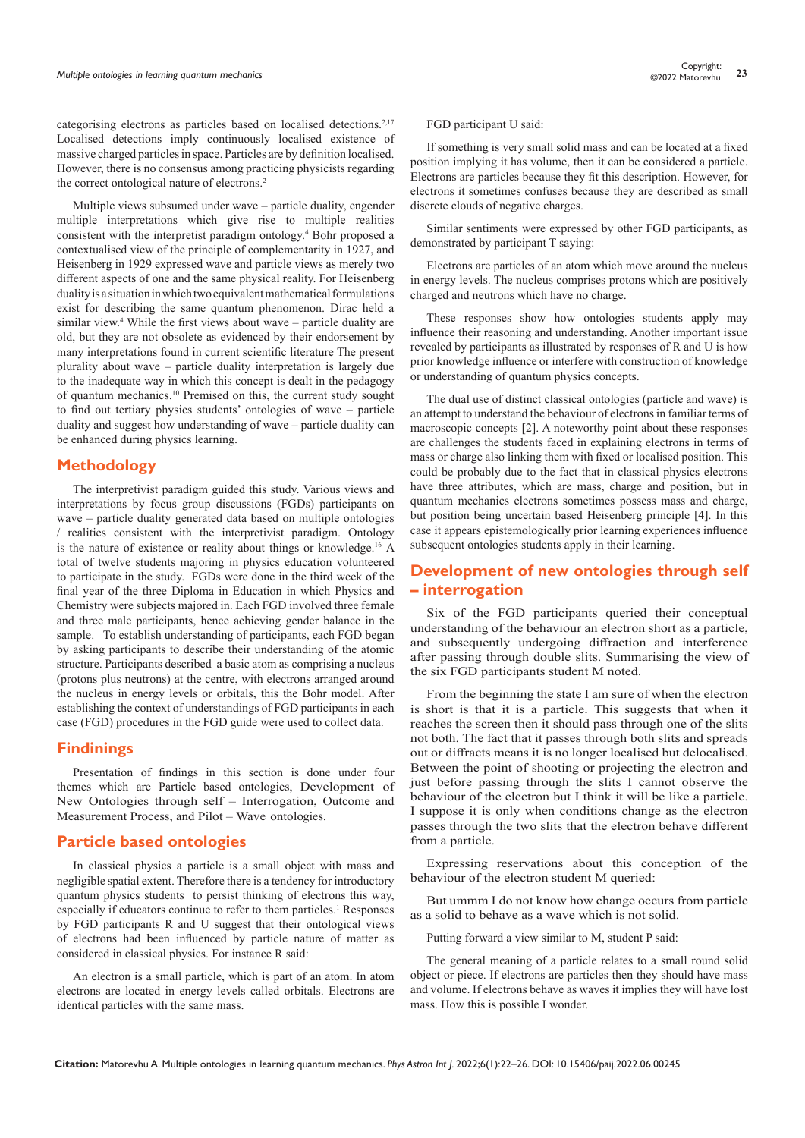categorising electrons as particles based on localised detections.2,17 Localised detections imply continuously localised existence of massive charged particles in space. Particles are by definition localised. However, there is no consensus among practicing physicists regarding the correct ontological nature of electrons.<sup>2</sup>

Multiple views subsumed under wave – particle duality, engender multiple interpretations which give rise to multiple realities consistent with the interpretist paradigm ontology.4 Bohr proposed a contextualised view of the principle of complementarity in 1927, and Heisenberg in 1929 expressed wave and particle views as merely two different aspects of one and the same physical reality. For Heisenberg duality is a situation in which two equivalent mathematical formulations exist for describing the same quantum phenomenon. Dirac held a similar view.<sup>4</sup> While the first views about wave – particle duality are old, but they are not obsolete as evidenced by their endorsement by many interpretations found in current scientific literature The present plurality about wave – particle duality interpretation is largely due to the inadequate way in which this concept is dealt in the pedagogy of quantum mechanics.10 Premised on this, the current study sought to find out tertiary physics students' ontologies of wave – particle duality and suggest how understanding of wave – particle duality can be enhanced during physics learning.

## **Methodology**

The interpretivist paradigm guided this study. Various views and interpretations by focus group discussions (FGDs) participants on wave – particle duality generated data based on multiple ontologies / realities consistent with the interpretivist paradigm. Ontology is the nature of existence or reality about things or knowledge.16 A total of twelve students majoring in physics education volunteered to participate in the study. FGDs were done in the third week of the final year of the three Diploma in Education in which Physics and Chemistry were subjects majored in. Each FGD involved three female and three male participants, hence achieving gender balance in the sample. To establish understanding of participants, each FGD began by asking participants to describe their understanding of the atomic structure. Participants described a basic atom as comprising a nucleus (protons plus neutrons) at the centre, with electrons arranged around the nucleus in energy levels or orbitals, this the Bohr model. After establishing the context of understandings of FGD participants in each case (FGD) procedures in the FGD guide were used to collect data.

## **Findinings**

Presentation of findings in this section is done under four themes which are Particle based ontologies, Development of New Ontologies through self – Interrogation, Outcome and Measurement Process, and Pilot – Wave ontologies.

## **Particle based ontologies**

In classical physics a particle is a small object with mass and negligible spatial extent. Therefore there is a tendency for introductory quantum physics students to persist thinking of electrons this way, especially if educators continue to refer to them particles.<sup>1</sup> Responses by FGD participants R and U suggest that their ontological views of electrons had been influenced by particle nature of matter as considered in classical physics. For instance R said:

An electron is a small particle, which is part of an atom. In atom electrons are located in energy levels called orbitals. Electrons are identical particles with the same mass.

FGD participant U said:

If something is very small solid mass and can be located at a fixed position implying it has volume, then it can be considered a particle. Electrons are particles because they fit this description. However, for electrons it sometimes confuses because they are described as small discrete clouds of negative charges.

Similar sentiments were expressed by other FGD participants, as demonstrated by participant T saying:

Electrons are particles of an atom which move around the nucleus in energy levels. The nucleus comprises protons which are positively charged and neutrons which have no charge.

These responses show how ontologies students apply may influence their reasoning and understanding. Another important issue revealed by participants as illustrated by responses of R and U is how prior knowledge influence or interfere with construction of knowledge or understanding of quantum physics concepts.

The dual use of distinct classical ontologies (particle and wave) is an attempt to understand the behaviour of electrons in familiar terms of macroscopic concepts [2]. A noteworthy point about these responses are challenges the students faced in explaining electrons in terms of mass or charge also linking them with fixed or localised position. This could be probably due to the fact that in classical physics electrons have three attributes, which are mass, charge and position, but in quantum mechanics electrons sometimes possess mass and charge, but position being uncertain based Heisenberg principle [4]. In this case it appears epistemologically prior learning experiences influence subsequent ontologies students apply in their learning.

# **Development of new ontologies through self – interrogation**

Six of the FGD participants queried their conceptual understanding of the behaviour an electron short as a particle, and subsequently undergoing diffraction and interference after passing through double slits. Summarising the view of the six FGD participants student M noted.

From the beginning the state I am sure of when the electron is short is that it is a particle. This suggests that when it reaches the screen then it should pass through one of the slits not both. The fact that it passes through both slits and spreads out or diffracts means it is no longer localised but delocalised. Between the point of shooting or projecting the electron and just before passing through the slits I cannot observe the behaviour of the electron but I think it will be like a particle. I suppose it is only when conditions change as the electron passes through the two slits that the electron behave different from a particle.

Expressing reservations about this conception of the behaviour of the electron student M queried:

But ummm I do not know how change occurs from particle as a solid to behave as a wave which is not solid.

Putting forward a view similar to M, student P said:

The general meaning of a particle relates to a small round solid object or piece. If electrons are particles then they should have mass and volume. If electrons behave as waves it implies they will have lost mass. How this is possible I wonder.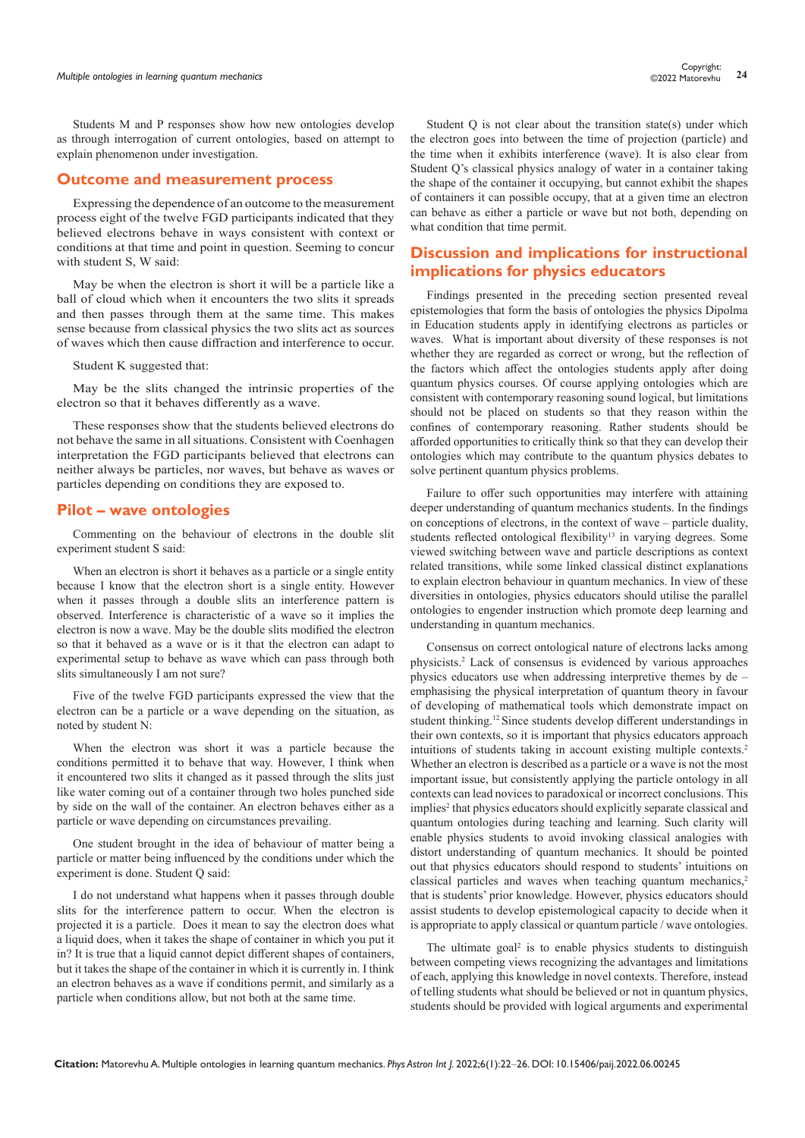Students M and P responses show how new ontologies develop as through interrogation of current ontologies, based on attempt to explain phenomenon under investigation.

#### **Outcome and measurement process**

Expressing the dependence of an outcome to the measurement process eight of the twelve FGD participants indicated that they believed electrons behave in ways consistent with context or conditions at that time and point in question. Seeming to concur with student S, W said:

May be when the electron is short it will be a particle like a ball of cloud which when it encounters the two slits it spreads and then passes through them at the same time. This makes sense because from classical physics the two slits act as sources of waves which then cause diffraction and interference to occur.

Student K suggested that:

May be the slits changed the intrinsic properties of the electron so that it behaves differently as a wave.

These responses show that the students believed electrons do not behave the same in all situations. Consistent with Coenhagen interpretation the FGD participants believed that electrons can neither always be particles, nor waves, but behave as waves or particles depending on conditions they are exposed to.

## **Pilot – wave ontologies**

Commenting on the behaviour of electrons in the double slit experiment student S said:

When an electron is short it behaves as a particle or a single entity because I know that the electron short is a single entity. However when it passes through a double slits an interference pattern is observed. Interference is characteristic of a wave so it implies the electron is now a wave. May be the double slits modified the electron so that it behaved as a wave or is it that the electron can adapt to experimental setup to behave as wave which can pass through both slits simultaneously I am not sure?

Five of the twelve FGD participants expressed the view that the electron can be a particle or a wave depending on the situation, as noted by student N:

When the electron was short it was a particle because the conditions permitted it to behave that way. However, I think when it encountered two slits it changed as it passed through the slits just like water coming out of a container through two holes punched side by side on the wall of the container. An electron behaves either as a particle or wave depending on circumstances prevailing.

One student brought in the idea of behaviour of matter being a particle or matter being influenced by the conditions under which the experiment is done. Student Q said:

I do not understand what happens when it passes through double slits for the interference pattern to occur. When the electron is projected it is a particle. Does it mean to say the electron does what a liquid does, when it takes the shape of container in which you put it in? It is true that a liquid cannot depict different shapes of containers, but it takes the shape of the container in which it is currently in. I think an electron behaves as a wave if conditions permit, and similarly as a particle when conditions allow, but not both at the same time.

Student Q is not clear about the transition state(s) under which the electron goes into between the time of projection (particle) and the time when it exhibits interference (wave). It is also clear from Student Q's classical physics analogy of water in a container taking the shape of the container it occupying, but cannot exhibit the shapes of containers it can possible occupy, that at a given time an electron can behave as either a particle or wave but not both, depending on what condition that time permit.

## **Discussion and implications for instructional implications for physics educators**

Findings presented in the preceding section presented reveal epistemologies that form the basis of ontologies the physics Dipolma in Education students apply in identifying electrons as particles or waves. What is important about diversity of these responses is not whether they are regarded as correct or wrong, but the reflection of the factors which affect the ontologies students apply after doing quantum physics courses. Of course applying ontologies which are consistent with contemporary reasoning sound logical, but limitations should not be placed on students so that they reason within the confines of contemporary reasoning. Rather students should be afforded opportunities to critically think so that they can develop their ontologies which may contribute to the quantum physics debates to solve pertinent quantum physics problems.

Failure to offer such opportunities may interfere with attaining deeper understanding of quantum mechanics students. In the findings on conceptions of electrons, in the context of wave – particle duality, students reflected ontological flexibility<sup>13</sup> in varying degrees. Some viewed switching between wave and particle descriptions as context related transitions, while some linked classical distinct explanations to explain electron behaviour in quantum mechanics. In view of these diversities in ontologies, physics educators should utilise the parallel ontologies to engender instruction which promote deep learning and understanding in quantum mechanics.

Consensus on correct ontological nature of electrons lacks among physicists.2 Lack of consensus is evidenced by various approaches physics educators use when addressing interpretive themes by de – emphasising the physical interpretation of quantum theory in favour of developing of mathematical tools which demonstrate impact on student thinking.12 Since students develop different understandings in their own contexts, so it is important that physics educators approach intuitions of students taking in account existing multiple contexts.2 Whether an electron is described as a particle or a wave is not the most important issue, but consistently applying the particle ontology in all contexts can lead novices to paradoxical or incorrect conclusions. This implies<sup>2</sup> that physics educators should explicitly separate classical and quantum ontologies during teaching and learning. Such clarity will enable physics students to avoid invoking classical analogies with distort understanding of quantum mechanics. It should be pointed out that physics educators should respond to students' intuitions on classical particles and waves when teaching quantum mechanics, $2$ that is students' prior knowledge. However, physics educators should assist students to develop epistemological capacity to decide when it is appropriate to apply classical or quantum particle / wave ontologies.

The ultimate goal<sup>2</sup> is to enable physics students to distinguish between competing views recognizing the advantages and limitations of each, applying this knowledge in novel contexts. Therefore, instead of telling students what should be believed or not in quantum physics, students should be provided with logical arguments and experimental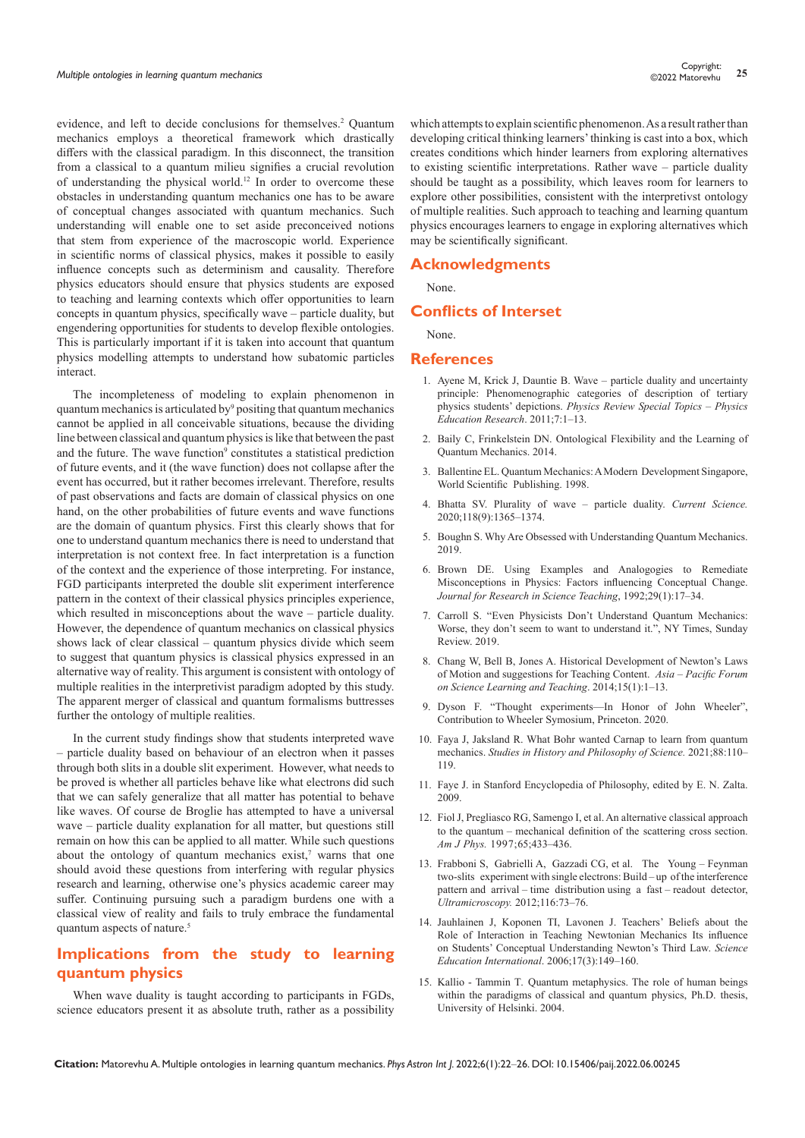evidence, and left to decide conclusions for themselves.<sup>2</sup> Quantum mechanics employs a theoretical framework which drastically differs with the classical paradigm. In this disconnect, the transition from a classical to a quantum milieu signifies a crucial revolution of understanding the physical world.12 In order to overcome these obstacles in understanding quantum mechanics one has to be aware of conceptual changes associated with quantum mechanics. Such understanding will enable one to set aside preconceived notions that stem from experience of the macroscopic world. Experience in scientific norms of classical physics, makes it possible to easily influence concepts such as determinism and causality. Therefore physics educators should ensure that physics students are exposed to teaching and learning contexts which offer opportunities to learn concepts in quantum physics, specifically wave – particle duality, but engendering opportunities for students to develop flexible ontologies. This is particularly important if it is taken into account that quantum physics modelling attempts to understand how subatomic particles interact.

The incompleteness of modeling to explain phenomenon in quantum mechanics is articulated by<sup>9</sup> positing that quantum mechanics cannot be applied in all conceivable situations, because the dividing line between classical and quantum physics is like that between the past and the future. The wave function<sup>9</sup> constitutes a statistical prediction of future events, and it (the wave function) does not collapse after the event has occurred, but it rather becomes irrelevant. Therefore, results of past observations and facts are domain of classical physics on one hand, on the other probabilities of future events and wave functions are the domain of quantum physics. First this clearly shows that for one to understand quantum mechanics there is need to understand that interpretation is not context free. In fact interpretation is a function of the context and the experience of those interpreting. For instance, FGD participants interpreted the double slit experiment interference pattern in the context of their classical physics principles experience, which resulted in misconceptions about the wave – particle duality. However, the dependence of quantum mechanics on classical physics shows lack of clear classical – quantum physics divide which seem to suggest that quantum physics is classical physics expressed in an alternative way of reality. This argument is consistent with ontology of multiple realities in the interpretivist paradigm adopted by this study. The apparent merger of classical and quantum formalisms buttresses further the ontology of multiple realities.

In the current study findings show that students interpreted wave – particle duality based on behaviour of an electron when it passes through both slits in a double slit experiment. However, what needs to be proved is whether all particles behave like what electrons did such that we can safely generalize that all matter has potential to behave like waves. Of course de Broglie has attempted to have a universal wave – particle duality explanation for all matter, but questions still remain on how this can be applied to all matter. While such questions about the ontology of quantum mechanics exist, $7$  warns that one should avoid these questions from interfering with regular physics research and learning, otherwise one's physics academic career may suffer. Continuing pursuing such a paradigm burdens one with a classical view of reality and fails to truly embrace the fundamental quantum aspects of nature.<sup>5</sup>

# **Implications from the study to learning quantum physics**

When wave duality is taught according to participants in FGDs, science educators present it as absolute truth, rather as a possibility which attempts to explain scientific phenomenon. As a result rather than developing critical thinking learners' thinking is cast into a box, which creates conditions which hinder learners from exploring alternatives to existing scientific interpretations. Rather wave – particle duality should be taught as a possibility, which leaves room for learners to explore other possibilities, consistent with the interpretivst ontology of multiple realities. Such approach to teaching and learning quantum physics encourages learners to engage in exploring alternatives which may be scientifically significant.

## **Acknowledgments**

None.

### **Conflicts of Interset**

None.

#### **References**

- 1. Ayene M, Krick J, Dauntie B. Wave particle duality and uncertainty principle: Phenomenographic categories of description of tertiary physics students' depictions. *Physics Review Special Topics – Physics Education Research*. 2011;7:1–13.
- 2. Baily C, Frinkelstein DN. Ontological Flexibility and the Learning of Quantum Mechanics. 2014.
- 3. Ballentine EL. Quantum Mechanics: A Modern Development Singapore, World Scientific Publishing. 1998.
- 4. Bhatta SV. Plurality of wave particle duality. *Current Science.* 2020;118(9):1365–1374.
- 5. Boughn S. Why Are Obsessed with Understanding Quantum Mechanics. 2019.
- 6. Brown DE. Using Examples and Analogogies to Remediate Misconceptions in Physics: Factors influencing Conceptual Change. *Journal for Research in Science Teaching*, 1992;29(1):17–34.
- 7. Carroll S. "Even Physicists Don't Understand Quantum Mechanics: Worse, they don't seem to want to understand it.", NY Times, Sunday Review. 2019.
- 8. Chang W, Bell B, Jones A. Historical Development of Newton's Laws of Motion and suggestions for Teaching Content. *Asia – Pacific Forum on Science Learning and Teaching*. 2014;15(1):1–13.
- 9. Dyson F. "Thought experiments—In Honor of John Wheeler", Contribution to Wheeler Symosium, Princeton. 2020.
- 10. Faya J, Jaksland R. What Bohr wanted Carnap to learn from quantum mechanics. *Studies in History and Philosophy of Science.* 2021;88:110– 119.
- 11. [Faye J. in Stanford Encyclopedia of Philosophy, edited by E. N. Zalta.](https://plato.stanford.edu/entries/qm-copenhagen/)  [2009.](https://plato.stanford.edu/entries/qm-copenhagen/)
- 12. Fiol J, Pregliasco RG, Samengo I, et al. An alternative classical approach to the quantum – mechanical definition of the scattering cross section. *Am J Phys.* [1997;65;433–436.](http://dx.doi.org/10.1119/1.18557)
- 13. Frabboni S, Gabrielli A, Gazzadi CG, et al. The Young Feynman two-slits experiment with single electrons: Build – up of the interference pattern and arrival – time distribution using a fast – readout detector, *Ultramicroscopy.* 2012;116:73–76.
- 14. Jauhlainen J, Koponen TI, Lavonen J. Teachers' Beliefs about the Role of Interaction in Teaching Newtonian Mechanics Its influence on Students' Conceptual Understanding Newton's Third Law. *Science Education International*. 2006;17(3):149–160.
- 15. Kallio Tammin T. Quantum metaphysics. The role of human beings within the paradigms of classical and quantum physics, Ph.D. thesis, University of Helsinki. 2004.